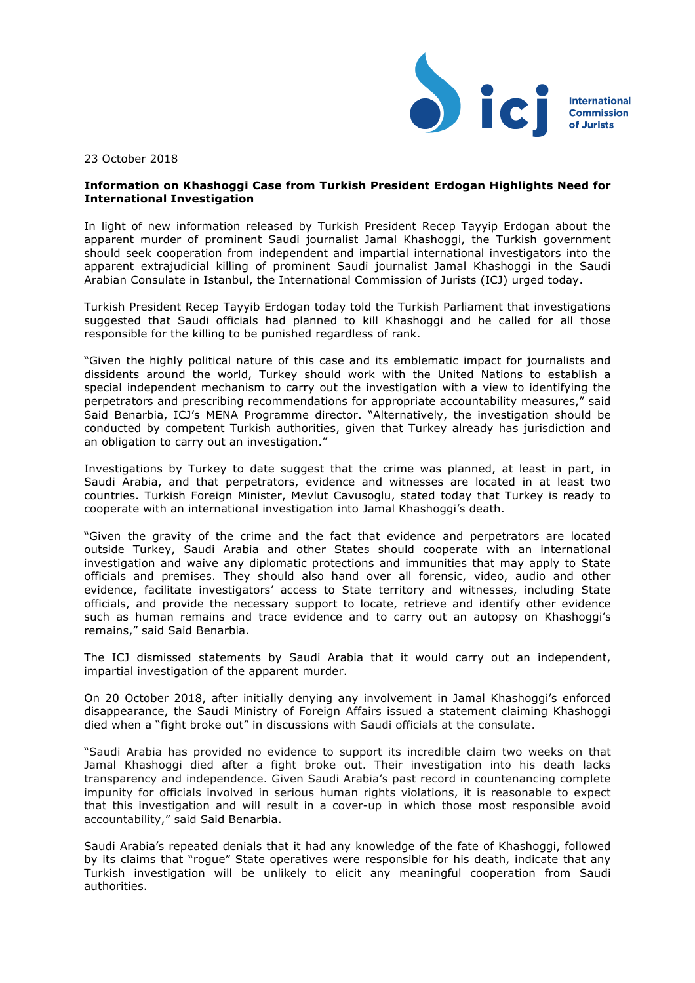

23 October 2018

## **Information on Khashoggi Case from Turkish President Erdogan Highlights Need for International Investigation**

In light of new information released by Turkish President Recep Tayyip Erdogan about the apparent murder of prominent Saudi journalist Jamal Khashoggi, the Turkish government should seek cooperation from independent and impartial international investigators into the apparent extrajudicial killing of prominent Saudi journalist Jamal Khashoggi in the Saudi Arabian Consulate in Istanbul, the International Commission of Jurists (ICJ) urged today.

Turkish President Recep Tayyib Erdogan today told the Turkish Parliament that investigations suggested that Saudi officials had planned to kill Khashoggi and he called for all those responsible for the killing to be punished regardless of rank.

"Given the highly political nature of this case and its emblematic impact for journalists and dissidents around the world, Turkey should work with the United Nations to establish a special independent mechanism to carry out the investigation with a view to identifying the perpetrators and prescribing recommendations for appropriate accountability measures," said Said Benarbia, ICJ's MENA Programme director. "Alternatively, the investigation should be conducted by competent Turkish authorities, given that Turkey already has jurisdiction and an obligation to carry out an investigation."

Investigations by Turkey to date suggest that the crime was planned, at least in part, in Saudi Arabia, and that perpetrators, evidence and witnesses are located in at least two countries. Turkish Foreign Minister, Mevlut Cavusoglu, stated today that Turkey is ready to cooperate with an international investigation into Jamal Khashoggi's death.

"Given the gravity of the crime and the fact that evidence and perpetrators are located outside Turkey, Saudi Arabia and other States should cooperate with an international investigation and waive any diplomatic protections and immunities that may apply to State officials and premises. They should also hand over all forensic, video, audio and other evidence, facilitate investigators' access to State territory and witnesses, including State officials, and provide the necessary support to locate, retrieve and identify other evidence such as human remains and trace evidence and to carry out an autopsy on Khashoggi's remains," said Said Benarbia.

The ICJ dismissed statements by Saudi Arabia that it would carry out an independent, impartial investigation of the apparent murder.

On 20 October 2018, after initially denying any involvement in Jamal Khashoggi's enforced disappearance, the Saudi Ministry of Foreign Affairs issued a statement claiming Khashoggi died when a "fight broke out" in discussions with Saudi officials at the consulate.

"Saudi Arabia has provided no evidence to support its incredible claim two weeks on that Jamal Khashoggi died after a fight broke out. Their investigation into his death lacks transparency and independence. Given Saudi Arabia's past record in countenancing complete impunity for officials involved in serious human rights violations, it is reasonable to expect that this investigation and will result in a cover-up in which those most responsible avoid accountability," said Said Benarbia.

Saudi Arabia's repeated denials that it had any knowledge of the fate of Khashoggi, followed by its claims that "rogue" State operatives were responsible for his death, indicate that any Turkish investigation will be unlikely to elicit any meaningful cooperation from Saudi authorities.